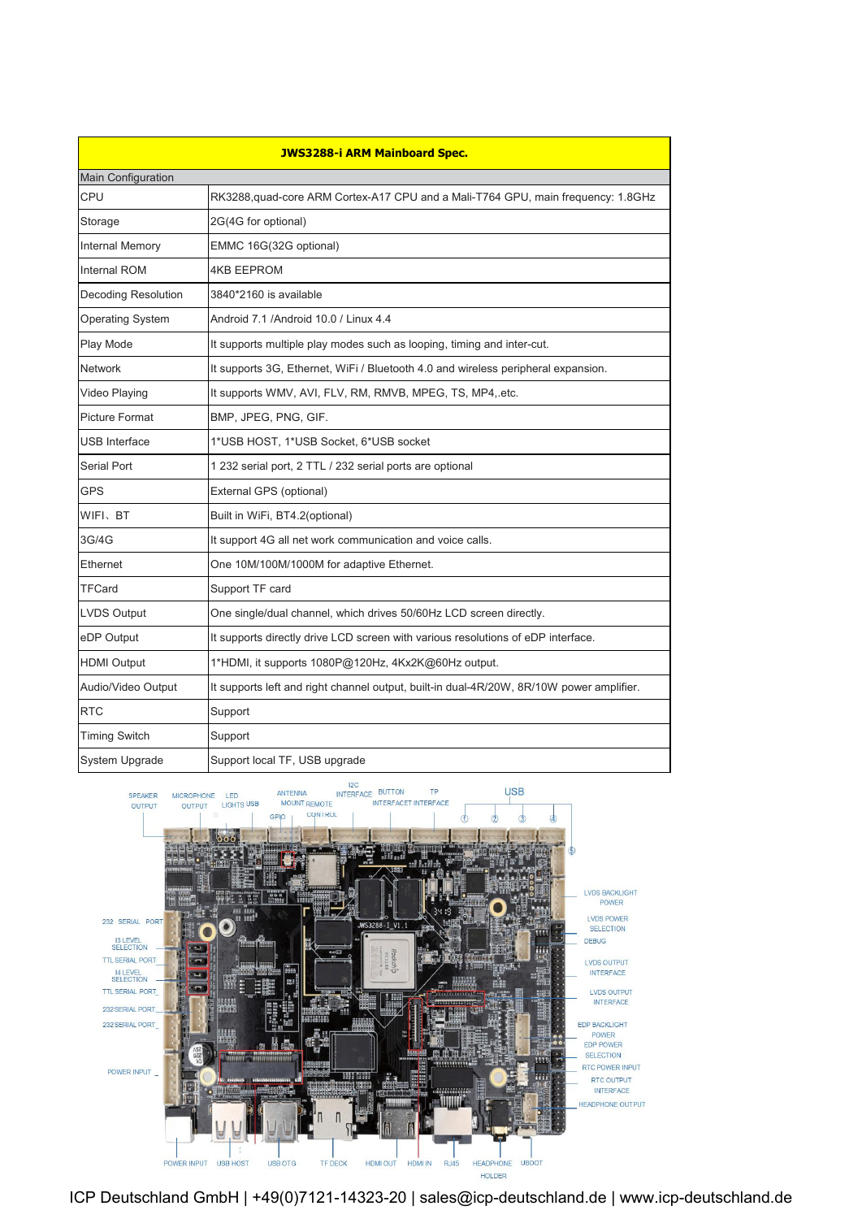| W FER-JWS3288-i ARM Mainboard Spec. |                                                                                          |
|-------------------------------------|------------------------------------------------------------------------------------------|
| <b>Main Configuration</b>           |                                                                                          |
| <b>CPU</b>                          | RK3288, quad-core ARM Cortex-A17 CPU and a Mali-T764 GPU, main frequency: 1.8GHz         |
| Storage                             | 2G(4G for optional)                                                                      |
| Internal Memory                     | EMMC 16G(32G optional)                                                                   |
| <b>Internal ROM</b>                 | <b>4KB EEPROM</b>                                                                        |
| Decoding Resolution                 | 3840*2160 is available                                                                   |
| <b>Operating System</b>             | Android 7.1 /Android 10.0 / Linux 4.4                                                    |
| Play Mode                           | It supports multiple play modes such as looping, timing and inter-cut.                   |
| <b>Network</b>                      | It supports 3G, Ethernet, WiFi / Bluetooth 4.0 and wireless peripheral expansion.        |
| Video Playing                       | It supports WMV, AVI, FLV, RM, RMVB, MPEG, TS, MP4, etc.                                 |
| <b>Picture Format</b>               | BMP, JPEG, PNG, GIF.                                                                     |
| <b>USB Interface</b>                | 1*USB HOST, 1*USB Socket, 6*USB socket                                                   |
| Serial Port                         | 1 232 serial port, 2 TTL / 232 serial ports are optional                                 |
| <b>GPS</b>                          | External GPS (optional)                                                                  |
| WIFI、BT                             | Built in WiFi, BT4.2(optional)                                                           |
| 3G/4G                               | It support 4G all net work communication and voice calls.                                |
| Ethernet                            | One 10M/100M/1000M for adaptive Ethernet.                                                |
| <b>TFCard</b>                       | Support TF card                                                                          |
| <b>LVDS Output</b>                  | One single/dual channel, which drives 50/60Hz LCD screen directly.                       |
| eDP Output                          | It supports directly drive LCD screen with various resolutions of eDP interface.         |
| <b>HDMI Output</b>                  | 1*HDMI, it supports 1080P@120Hz, 4Kx2K@60Hz output.                                      |
| Audio/Video Output                  | It supports left and right channel output, built-in dual-4R/20W, 8R/10W power amplifier. |
| <b>RTC</b>                          | Support                                                                                  |
| <b>Timing Switch</b>                | Support                                                                                  |
| System Upgrade                      | Support local TF, USB upgrade                                                            |



ICP Deutschland GmbH | +49(0)7121-14323-20 | sales@icp-deutschland.de | www.icp-deutschland.de